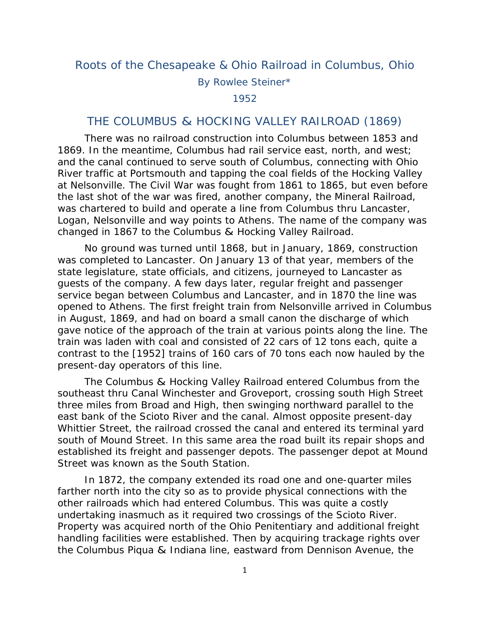## Roots of the Chesapeake & Ohio Railroad in Columbus, Ohio

By Rowlee Steiner\*

1952

## THE COLUMBUS & HOCKING VALLEY RAILROAD (1869)

 There was no railroad construction into Columbus between 1853 and 1869. In the meantime, Columbus had rail service east, north, and west; and the canal continued to serve south of Columbus, connecting with Ohio River traffic at Portsmouth and tapping the coal fields of the Hocking Valley at Nelsonville. The Civil War was fought from 1861 to 1865, but even before the last shot of the war was fired, another company, the Mineral Railroad, was chartered to build and operate a line from Columbus thru Lancaster, Logan, Nelsonville and way points to Athens. The name of the company was changed in 1867 to the Columbus & Hocking Valley Railroad.

 No ground was turned until 1868, but in January, 1869, construction was completed to Lancaster. On January 13 of that year, members of the state legislature, state officials, and citizens, journeyed to Lancaster as guests of the company. A few days later, regular freight and passenger service began between Columbus and Lancaster, and in 1870 the line was opened to Athens. The first freight train from Nelsonville arrived in Columbus in August, 1869, and had on board a small canon the discharge of which gave notice of the approach of the train at various points along the line. The train was laden with coal and consisted of 22 cars of 12 tons each, quite a contrast to the [1952] trains of 160 cars of 70 tons each now hauled by the present-day operators of this line.

 The Columbus & Hocking Valley Railroad entered Columbus from the southeast thru Canal Winchester and Groveport, crossing south High Street three miles from Broad and High, then swinging northward parallel to the east bank of the Scioto River and the canal. Almost opposite present-day Whittier Street, the railroad crossed the canal and entered its terminal yard south of Mound Street. In this same area the road built its repair shops and established its freight and passenger depots. The passenger depot at Mound Street was known as the South Station.

 In 1872, the company extended its road one and one-quarter miles farther north into the city so as to provide physical connections with the other railroads which had entered Columbus. This was quite a costly undertaking inasmuch as it required two crossings of the Scioto River. Property was acquired north of the Ohio Penitentiary and additional freight handling facilities were established. Then by acquiring trackage rights over the Columbus Piqua & Indiana line, eastward from Dennison Avenue, the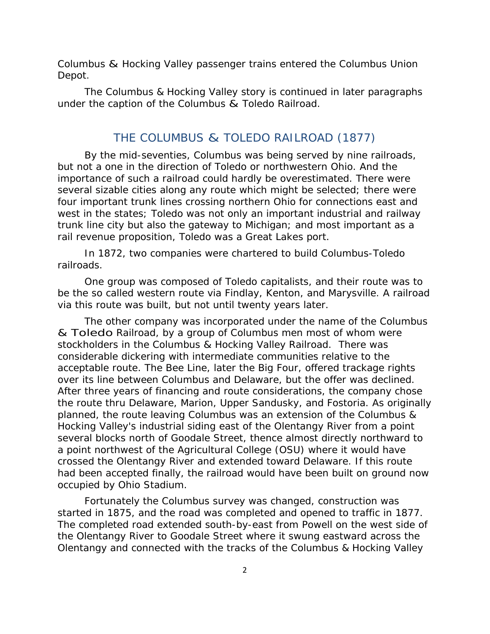Columbus & Hocking Valley passenger trains entered the Columbus Union Depot.

 The Columbus & Hocking Valley story is continued in later paragraphs under the caption of the Columbus & Toledo Railroad.

## THE COLUMBUS & TOLEDO RAILROAD (1877)

 By the mid-seventies, Columbus was being served by nine railroads, but not a one in the direction of Toledo or northwestern Ohio. And the importance of such a railroad could hardly be overestimated. There were several sizable cities along any route which might be selected; there were four important trunk lines crossing northern Ohio for connections east and west in the states; Toledo was not only an important industrial and railway trunk line city but also the gateway to Michigan; and most important as a rail revenue proposition, Toledo was a Great Lakes port.

 In 1872, two companies were chartered to build Columbus-Toledo railroads.

 One group was composed of Toledo capitalists, and their route was to be the so called western route via Findlay, Kenton, and Marysville. A railroad via this route was built, but not until twenty years later.

 The other company was incorporated under the name of the Columbus & Toledo Railroad, by a group of Columbus men most of whom were stockholders in the Columbus & Hocking Valley Railroad. There was considerable dickering with intermediate communities relative to the acceptable route. The Bee Line, later the Big Four, offered trackage rights over its line between Columbus and Delaware, but the offer was declined. After three years of financing and route considerations, the company chose the route thru Delaware, Marion, Upper Sandusky, and Fostoria. As originally planned, the route leaving Columbus was an extension of the Columbus & Hocking Valley's industrial siding east of the Olentangy River from a point several blocks north of Goodale Street, thence almost directly northward to a point northwest of the Agricultural College (OSU) where it would have crossed the Olentangy River and extended toward Delaware. If this route had been accepted finally, the railroad would have been built on ground now occupied by Ohio Stadium.

 Fortunately the Columbus survey was changed, construction was started in 1875, and the road was completed and opened to traffic in 1877. The completed road extended south-by-east from Powell on the west side of the Olentangy River to Goodale Street where it swung eastward across the Olentangy and connected with the tracks of the Columbus & Hocking Valley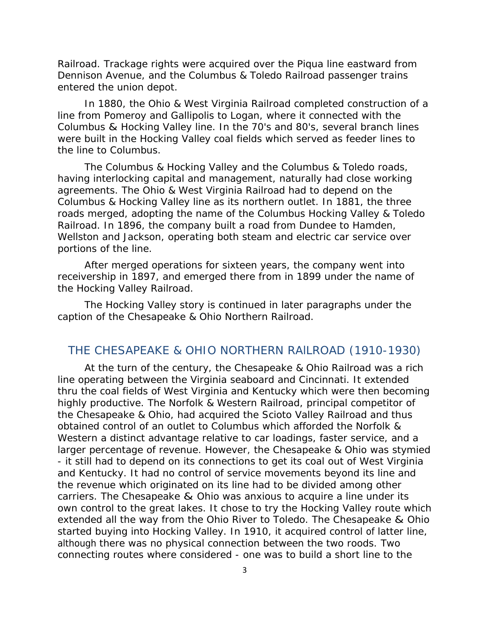Railroad. Trackage rights were acquired over the Piqua line eastward from Dennison Avenue, and the Columbus & Toledo Railroad passenger trains entered the union depot.

 In 1880, the Ohio & West Virginia Railroad completed construction of a line from Pomeroy and Gallipolis to Logan, where it connected with the Columbus & Hocking Valley line. In the 70's and 80's, several branch lines were built in the Hocking Valley coal fields which served as feeder lines to the line to Columbus.

 The Columbus & Hocking Valley and the Columbus & Toledo roads, having interlocking capital and management, naturally had close working agreements. The Ohio & West Virginia Railroad had to depend on the Columbus & Hocking Valley line as its northern outlet. In 1881, the three roads merged, adopting the name of the Columbus Hocking Valley & Toledo Railroad. In 1896, the company built a road from Dundee to Hamden, Wellston and Jackson, operating both steam and electric car service over portions of the line.

 After merged operations for sixteen years, the company went into receivership in 1897, and emerged there from in 1899 under the name of the Hocking Valley Railroad.

 The Hocking Valley story is continued in later paragraphs under the caption of the Chesapeake & Ohio Northern Railroad.

## THE CHESAPEAKE & OHIO NORTHERN RAlLROAD (1910-1930)

 At the turn of the century, the Chesapeake & Ohio Railroad was a rich line operating between the Virginia seaboard and Cincinnati. It extended thru the coal fields of West Virginia and Kentucky which were then becoming highly productive. The Norfolk & Western Railroad, principal competitor of the Chesapeake & Ohio, had acquired the Scioto Valley Railroad and thus obtained control of an outlet to Columbus which afforded the Norfolk & Western a distinct advantage relative to car loadings, faster service, and a larger percentage of revenue. However, the Chesapeake & Ohio was stymied - it still had to depend on its connections to get its coal out of West Virginia and Kentucky. It had no control of service movements beyond its line and the revenue which originated on its line had to be divided among other carriers. The Chesapeake & Ohio was anxious to acquire a line under its own control to the great lakes. It chose to try the Hocking Valley route which extended all the way from the Ohio River to Toledo. The Chesapeake & Ohio started buying into Hocking Valley. In 1910, it acquired control of latter line, although there was no physical connection between the two roods. Two connecting routes where considered - one was to build a short line to the